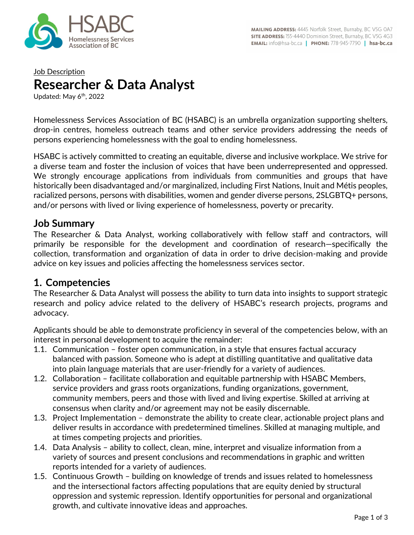

# Job Description Researcher & Data Analyst

Updated: May 6<sup>th</sup>, 2022

Homelessness Services Association of BC (HSABC) is an umbrella organization supporting shelters, drop-in centres, homeless outreach teams and other service providers addressing the needs of persons experiencing homelessness with the goal to ending homelessness.

HSABC is actively committed to creating an equitable, diverse and inclusive workplace. We strive for a diverse team and foster the inclusion of voices that have been underrepresented and oppressed. We strongly encourage applications from individuals from communities and groups that have historically been disadvantaged and/or marginalized, including First Nations, Inuit and Métis peoples, racialized persons, persons with disabilities, women and gender diverse persons, 2SLGBTQ+ persons, and/or persons with lived or living experience of homelessness, poverty or precarity.

#### Job Summary

The Researcher & Data Analyst, working collaboratively with fellow staff and contractors, will primarily be responsible for the development and coordination of research—specifically the collection, transformation and organization of data in order to drive decision-making and provide advice on key issues and policies affecting the homelessness services sector.

#### 1. Competencies

The Researcher & Data Analyst will possess the ability to turn data into insights to support strategic research and policy advice related to the delivery of HSABC's research projects, programs and advocacy.

Applicants should be able to demonstrate proficiency in several of the competencies below, with an interest in personal development to acquire the remainder:

- 1.1. Communication foster open communication, in a style that ensures factual accuracy balanced with passion. Someone who is adept at distilling quantitative and qualitative data into plain language materials that are user-friendly for a variety of audiences.
- 1.2. Collaboration facilitate collaboration and equitable partnership with HSABC Members, service providers and grass roots organizations, funding organizations, government, community members, peers and those with lived and living expertise. Skilled at arriving at consensus when clarity and/or agreement may not be easily discernable.
- 1.3. Project Implementation demonstrate the ability to create clear, actionable project plans and deliver results in accordance with predetermined timelines. Skilled at managing multiple, and at times competing projects and priorities.
- 1.4. Data Analysis ability to collect, clean, mine, interpret and visualize information from a variety of sources and present conclusions and recommendations in graphic and written reports intended for a variety of audiences.
- 1.5. Continuous Growth building on knowledge of trends and issues related to homelessness and the intersectional factors affecting populations that are equity denied by structural oppression and systemic repression. Identify opportunities for personal and organizational growth, and cultivate innovative ideas and approaches.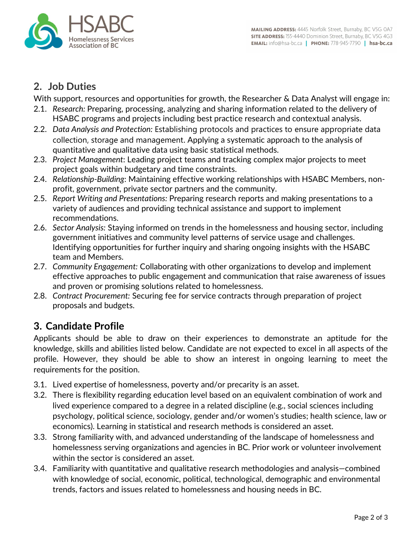

## 2. Job Duties

With support, resources and opportunities for growth, the Researcher & Data Analyst will engage in:

- 2.1. Research: Preparing, processing, analyzing and sharing information related to the delivery of HSABC programs and projects including best practice research and contextual analysis.
- 2.2. Data Analysis and Protection: Establishing protocols and practices to ensure appropriate data collection, storage and management. Applying a systematic approach to the analysis of quantitative and qualitative data using basic statistical methods.
- 2.3. Project Management: Leading project teams and tracking complex major projects to meet project goals within budgetary and time constraints.
- 2.4. Relationship-Building: Maintaining effective working relationships with HSABC Members, nonprofit, government, private sector partners and the community.
- 2.5. Report Writing and Presentations: Preparing research reports and making presentations to a variety of audiences and providing technical assistance and support to implement recommendations.
- 2.6. Sector Analysis: Staying informed on trends in the homelessness and housing sector, including government initiatives and community level patterns of service usage and challenges. Identifying opportunities for further inquiry and sharing ongoing insights with the HSABC team and Members.
- 2.7. Community Engagement: Collaborating with other organizations to develop and implement effective approaches to public engagement and communication that raise awareness of issues and proven or promising solutions related to homelessness.
- 2.8. Contract Procurement: Securing fee for service contracts through preparation of project proposals and budgets.

### 3. Candidate Profile

Applicants should be able to draw on their experiences to demonstrate an aptitude for the knowledge, skills and abilities listed below. Candidate are not expected to excel in all aspects of the profile. However, they should be able to show an interest in ongoing learning to meet the requirements for the position.

- 3.1. Lived expertise of homelessness, poverty and/or precarity is an asset.
- 3.2. There is flexibility regarding education level based on an equivalent combination of work and lived experience compared to a degree in a related discipline (e.g., social sciences including psychology, political science, sociology, gender and/or women's studies; health science, law or economics). Learning in statistical and research methods is considered an asset.
- 3.3. Strong familiarity with, and advanced understanding of the landscape of homelessness and homelessness serving organizations and agencies in BC. Prior work or volunteer involvement within the sector is considered an asset.
- 3.4. Familiarity with quantitative and qualitative research methodologies and analysis—combined with knowledge of social, economic, political, technological, demographic and environmental trends, factors and issues related to homelessness and housing needs in BC.